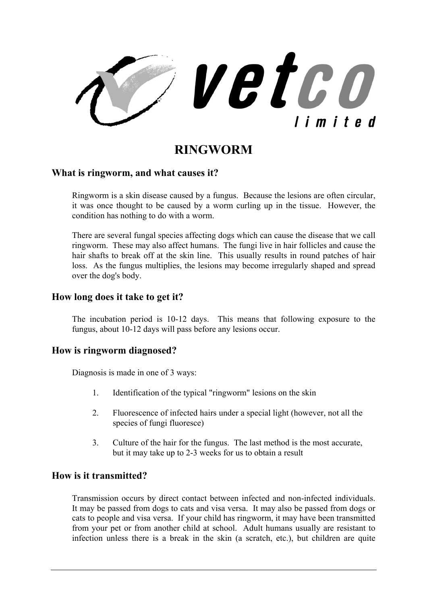

# **RINGWORM**

#### **What is ringworm, and what causes it?**

Ringworm is a skin disease caused by a fungus. Because the lesions are often circular, it was once thought to be caused by a worm curling up in the tissue. However, the condition has nothing to do with a worm.

There are several fungal species affecting dogs which can cause the disease that we call ringworm. These may also affect humans. The fungi live in hair follicles and cause the hair shafts to break off at the skin line. This usually results in round patches of hair loss. As the fungus multiplies, the lesions may become irregularly shaped and spread over the dog's body.

## **How long does it take to get it?**

The incubation period is 10-12 days. This means that following exposure to the fungus, about 10-12 days will pass before any lesions occur.

#### **How is ringworm diagnosed?**

Diagnosis is made in one of 3 ways:

- 1. Identification of the typical "ringworm" lesions on the skin
- 2. Fluorescence of infected hairs under a special light (however, not all the species of fungi fluoresce)
- 3. Culture of the hair for the fungus. The last method is the most accurate, but it may take up to 2-3 weeks for us to obtain a result

## **How is it transmitted?**

Transmission occurs by direct contact between infected and non-infected individuals. It may be passed from dogs to cats and visa versa. It may also be passed from dogs or cats to people and visa versa. If your child has ringworm, it may have been transmitted from your pet or from another child at school. Adult humans usually are resistant to infection unless there is a break in the skin (a scratch, etc.), but children are quite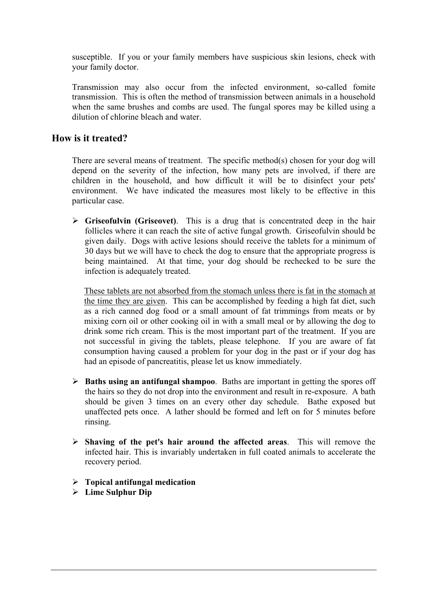susceptible. If you or your family members have suspicious skin lesions, check with your family doctor.

Transmission may also occur from the infected environment, so-called fomite transmission. This is often the method of transmission between animals in a household when the same brushes and combs are used. The fungal spores may be killed using a dilution of chlorine bleach and water.

## **How is it treated?**

There are several means of treatment. The specific method(s) chosen for your dog will depend on the severity of the infection, how many pets are involved, if there are children in the household, and how difficult it will be to disinfect your pets' environment. We have indicated the measures most likely to be effective in this particular case.

¾ **Griseofulvin (Griseovet)**. This is a drug that is concentrated deep in the hair follicles where it can reach the site of active fungal growth. Griseofulvin should be given daily. Dogs with active lesions should receive the tablets for a minimum of 30 days but we will have to check the dog to ensure that the appropriate progress is being maintained. At that time, your dog should be rechecked to be sure the infection is adequately treated.

These tablets are not absorbed from the stomach unless there is fat in the stomach at the time they are given. This can be accomplished by feeding a high fat diet, such as a rich canned dog food or a small amount of fat trimmings from meats or by mixing corn oil or other cooking oil in with a small meal or by allowing the dog to drink some rich cream. This is the most important part of the treatment. If you are not successful in giving the tablets, please telephone. If you are aware of fat consumption having caused a problem for your dog in the past or if your dog has had an episode of pancreatitis, please let us know immediately.

- ¾ **Baths using an antifungal shampoo**. Baths are important in getting the spores off the hairs so they do not drop into the environment and result in re-exposure. A bath should be given 3 times on an every other day schedule. Bathe exposed but unaffected pets once. A lather should be formed and left on for 5 minutes before rinsing.
- ¾ **Shaving of the pet's hair around the affected areas**. This will remove the infected hair. This is invariably undertaken in full coated animals to accelerate the recovery period.
- ¾ **Topical antifungal medication**
- ¾ **Lime Sulphur Dip**